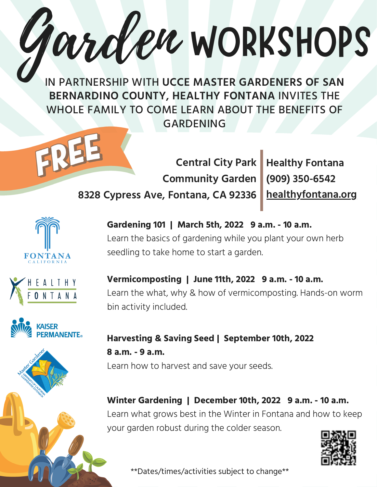IN PARTNERSHIP WITH **UCCE MASTER GARDENERS OF SAN BERNARDINO COUNTY, HEALTHY FONTANA** INVITES THE WHOLE FAMILY TO COME LEARN ABOUT THE BENEFITS OF GARDENING

Garden WORKSHOPS



**(909) 350-6542 healthyfontana.org**







**Gardening 101 | March 5th, 2022 9 a.m. - 10 a.m.** Learn the basics of gardening while you plant your own herb seedling to take home to start a garden.

## **Vermicomposting | June 11th, 2022 9 a.m. - 10 a.m.** Learn the what, why & how of vermicomposting. Hands-on worm bin activity included.

## **Harvesting & Saving Seed | September 10th, 2022 8 a.m. - 9 a.m.** Learn how to harvest and save your seeds.

**Winter Gardening | December 10th, 2022 9 a.m. - 10 a.m.** Learn what grows best in the Winter in Fontana and how to keep your garden robust during the colder season.



\*\*Dates/times/activities subject to change\*\*